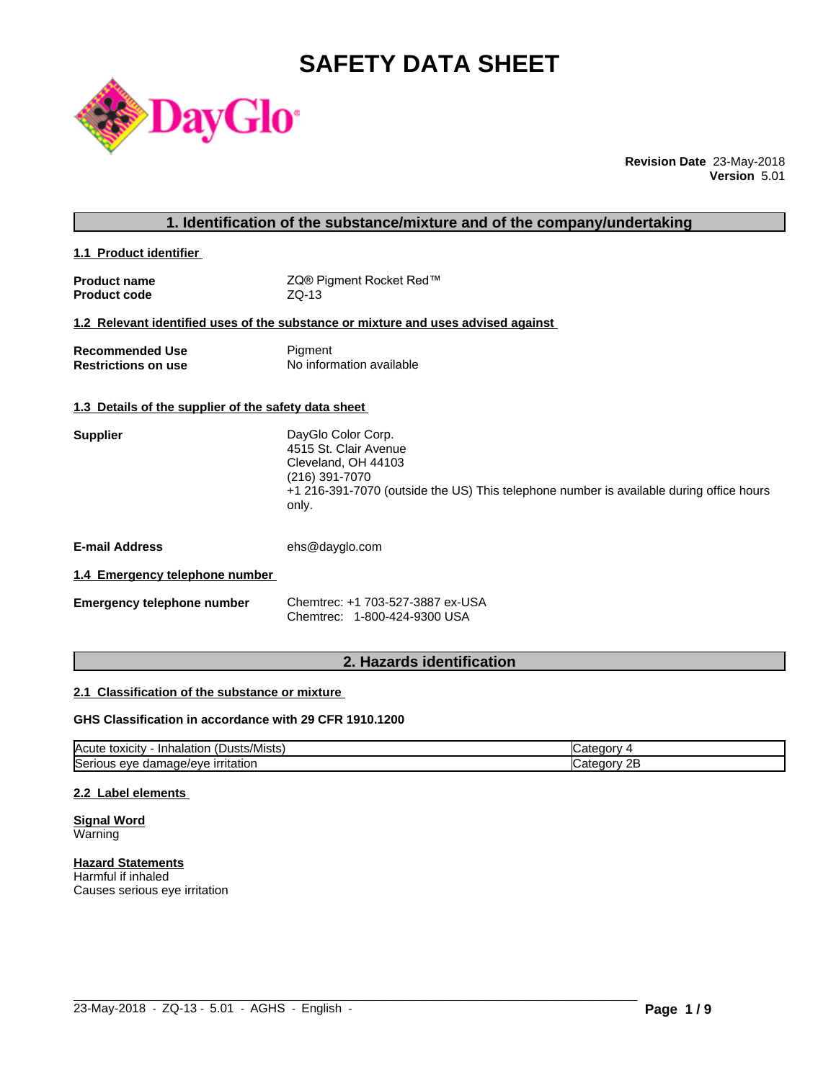# **SAFETY DATA SHEET**



**Revision Date** 23-May-2018 **Version** 5.01

| 1. Identification of the substance/mixture and of the company/undertaking |                                                                                                                                                                                          |  |
|---------------------------------------------------------------------------|------------------------------------------------------------------------------------------------------------------------------------------------------------------------------------------|--|
| 1.1 Product identifier                                                    |                                                                                                                                                                                          |  |
| <b>Product name</b><br><b>Product code</b>                                | ZQ® Pigment Rocket Red™<br>$ZQ-13$                                                                                                                                                       |  |
|                                                                           | 1.2 Relevant identified uses of the substance or mixture and uses advised against                                                                                                        |  |
| <b>Recommended Use</b><br><b>Restrictions on use</b>                      | Pigment<br>No information available                                                                                                                                                      |  |
| 1.3 Details of the supplier of the safety data sheet                      |                                                                                                                                                                                          |  |
| <b>Supplier</b>                                                           | DayGlo Color Corp.<br>4515 St. Clair Avenue<br>Cleveland, OH 44103<br>(216) 391-7070<br>+1 216-391-7070 (outside the US) This telephone number is available during office hours<br>only. |  |
| <b>E-mail Address</b>                                                     | ehs@dayglo.com                                                                                                                                                                           |  |
| 1.4 Emergency telephone number                                            |                                                                                                                                                                                          |  |
| <b>Emergency telephone number</b>                                         | Chemtrec: +1 703-527-3887 ex-USA<br>Chemtrec: 1-800-424-9300 USA                                                                                                                         |  |
|                                                                           |                                                                                                                                                                                          |  |

## **2. Hazards identification**

## **2.1 Classification of the substance or mixture**

## **GHS Classification in accordance with 29 CFR 1910.1200**

| $\mathbf{r}$<br>/Mists<br>ιΟΧΙCItV<br><b>IAcute</b><br>⊣nh′<br>Dust:<br>naiatior | ы.<br>$\mathbf{v}$ |
|----------------------------------------------------------------------------------|--------------------|
| <b>Serious</b>                                                                   | חר.                |
| <b>irritation</b>                                                                | 10 I V             |
| nage/eve                                                                         | <u>_</u>           |
| eve                                                                              |                    |
| uar                                                                              | .                  |

 $\_$  ,  $\_$  ,  $\_$  ,  $\_$  ,  $\_$  ,  $\_$  ,  $\_$  ,  $\_$  ,  $\_$  ,  $\_$  ,  $\_$  ,  $\_$  ,  $\_$  ,  $\_$  ,  $\_$  ,  $\_$  ,  $\_$  ,  $\_$  ,  $\_$  ,  $\_$  ,  $\_$  ,  $\_$  ,  $\_$  ,  $\_$  ,  $\_$  ,  $\_$  ,  $\_$  ,  $\_$  ,  $\_$  ,  $\_$  ,  $\_$  ,  $\_$  ,  $\_$  ,  $\_$  ,  $\_$  ,  $\_$  ,  $\_$  ,

## **2.2 Label elements**

**Signal Word** Warning

**Hazard Statements** Harmful if inhaled Causes serious eye irritation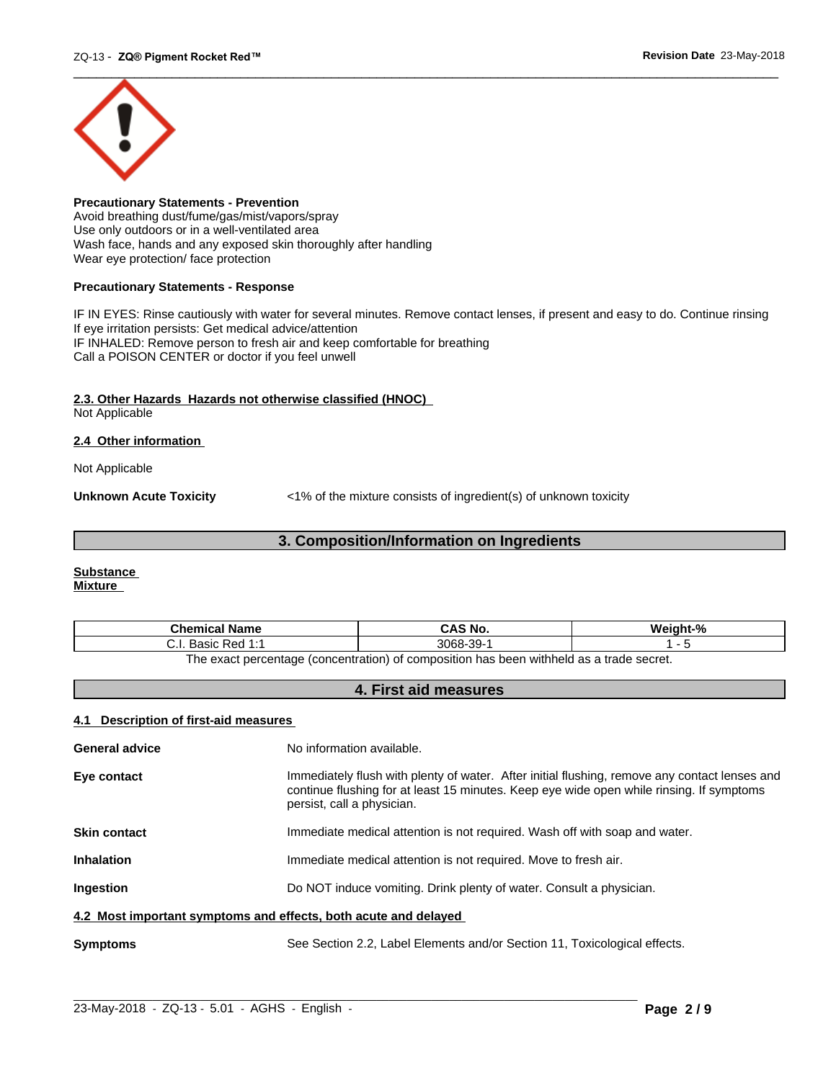

**Precautionary Statements - Prevention** Avoid breathing dust/fume/gas/mist/vapors/spray Use only outdoors or in a well-ventilated area Wash face, hands and any exposed skin thoroughly after handling Wear eye protection/ face protection

## **Precautionary Statements - Response**

IF IN EYES: Rinse cautiously with water for several minutes. Remove contact lenses, if present and easy to do. Continue rinsing If eye irritation persists: Get medical advice/attention IF INHALED: Remove person to fresh air and keep comfortable for breathing Call a POISON CENTER or doctor if you feel unwell

## **2.3. Other Hazards Hazards not otherwise classified (HNOC)**

Not Applicable

## **2.4 Other information**

Not Applicable

**Unknown Acute Toxicity**  $\langle 1\%$  of the mixture consists of ingredient(s) of unknown toxicity

## **3. Composition/Information on Ingredients**

#### **Substance Mixture**

| Chemical<br>∣ Name                                                                      | `S No.<br>CA.              | $\mathbf{a}$ |  |
|-----------------------------------------------------------------------------------------|----------------------------|--------------|--|
| <b>Dod 1.4</b><br>20010<br>n sa<br>ن.<br>Dasit<br>.                                     | 3068<br>$\sim$<br>99-<br>ີ |              |  |
| The exact perceptage (conceptration) of compecition has been withhold as a trade secret |                            |              |  |

The exact percentage (concentration) of composition has been withheld as a trade secret.

## **4. First aid measures**

## **4.1 Description of first-aid measures**

| <b>General advice</b>                                           | No information available.                                                                                                                                                                                               |  |
|-----------------------------------------------------------------|-------------------------------------------------------------------------------------------------------------------------------------------------------------------------------------------------------------------------|--|
| Eye contact                                                     | Immediately flush with plenty of water. After initial flushing, remove any contact lenses and<br>continue flushing for at least 15 minutes. Keep eye wide open while rinsing. If symptoms<br>persist, call a physician. |  |
| <b>Skin contact</b>                                             | Immediate medical attention is not required. Wash off with soap and water.                                                                                                                                              |  |
| <b>Inhalation</b>                                               | Immediate medical attention is not required. Move to fresh air.                                                                                                                                                         |  |
| <b>Ingestion</b>                                                | Do NOT induce vomiting. Drink plenty of water. Consult a physician.                                                                                                                                                     |  |
| 4.2 Most important symptoms and effects, both acute and delayed |                                                                                                                                                                                                                         |  |
| <b>Symptoms</b>                                                 | See Section 2.2, Label Elements and/or Section 11, Toxicological effects.                                                                                                                                               |  |

 $\_$  ,  $\_$  ,  $\_$  ,  $\_$  ,  $\_$  ,  $\_$  ,  $\_$  ,  $\_$  ,  $\_$  ,  $\_$  ,  $\_$  ,  $\_$  ,  $\_$  ,  $\_$  ,  $\_$  ,  $\_$  ,  $\_$  ,  $\_$  ,  $\_$  ,  $\_$  ,  $\_$  ,  $\_$  ,  $\_$  ,  $\_$  ,  $\_$  ,  $\_$  ,  $\_$  ,  $\_$  ,  $\_$  ,  $\_$  ,  $\_$  ,  $\_$  ,  $\_$  ,  $\_$  ,  $\_$  ,  $\_$  ,  $\_$  ,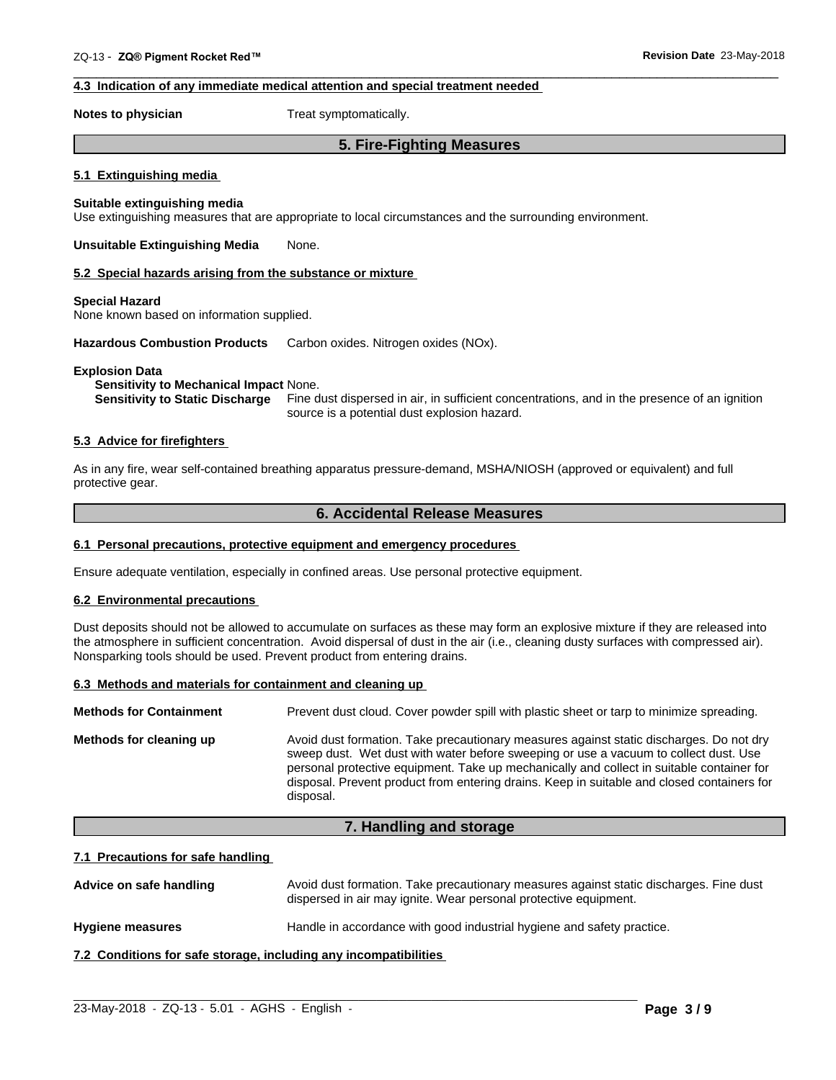## **4.3 Indication of any immediate medical attention and special treatment needed**

**Notes to physician** Treat symptomatically.

## **5. Fire-Fighting Measures**

 $\overline{\phantom{a}}$  ,  $\overline{\phantom{a}}$  ,  $\overline{\phantom{a}}$  ,  $\overline{\phantom{a}}$  ,  $\overline{\phantom{a}}$  ,  $\overline{\phantom{a}}$  ,  $\overline{\phantom{a}}$  ,  $\overline{\phantom{a}}$  ,  $\overline{\phantom{a}}$  ,  $\overline{\phantom{a}}$  ,  $\overline{\phantom{a}}$  ,  $\overline{\phantom{a}}$  ,  $\overline{\phantom{a}}$  ,  $\overline{\phantom{a}}$  ,  $\overline{\phantom{a}}$  ,  $\overline{\phantom{a}}$ 

#### **5.1 Extinguishing media**

#### **Suitable extinguishing media**

Use extinguishing measures that are appropriate to local circumstances and the surrounding environment.

**Unsuitable Extinguishing Media** None.

#### **5.2 Special hazards arising from the substance or mixture**

#### **Special Hazard**

None known based on information supplied.

**Hazardous Combustion Products** Carbon oxides. Nitrogen oxides (NOx).

#### **Explosion Data**

#### **Sensitivity to Mechanical Impact** None.

**Sensitivity to Static Discharge** Fine dust dispersed in air, in sufficient concentrations, and in the presence of an ignition source is a potential dust explosion hazard.

## **5.3 Advice for firefighters**

As in any fire, wear self-contained breathing apparatus pressure-demand, MSHA/NIOSH (approved or equivalent) and full protective gear.

## **6. Accidental Release Measures**

#### **6.1 Personal precautions, protective equipment and emergency procedures**

Ensure adequate ventilation, especially in confined areas. Use personal protective equipment.

#### **6.2 Environmental precautions**

Dust deposits should not be allowed to accumulate on surfaces as these may form an explosive mixture if they are released into the atmosphere in sufficient concentration. Avoid dispersal of dust in the air (i.e., cleaning dusty surfaces with compressed air). Nonsparking tools should be used. Prevent product from entering drains.

#### **6.3 Methods and materials for containment and cleaning up**

| <b>Methods for Containment</b> | Prevent dust cloud. Cover powder spill with plastic sheet or tarp to minimize spreading.                                                                                                                                                                                                                                                                                                |
|--------------------------------|-----------------------------------------------------------------------------------------------------------------------------------------------------------------------------------------------------------------------------------------------------------------------------------------------------------------------------------------------------------------------------------------|
| Methods for cleaning up        | Avoid dust formation. Take precautionary measures against static discharges. Do not dry<br>sweep dust. Wet dust with water before sweeping or use a vacuum to collect dust. Use<br>personal protective equipment. Take up mechanically and collect in suitable container for<br>disposal. Prevent product from entering drains. Keep in suitable and closed containers for<br>disposal. |

## **7. Handling and storage**

#### **7.1 Precautions for safe handling**

Advice on safe handling **Avoid dust formation. Take precautionary measures against static discharges. Fine dust** dispersed in air may ignite. Wear personal protective equipment.

 $\_$  ,  $\_$  ,  $\_$  ,  $\_$  ,  $\_$  ,  $\_$  ,  $\_$  ,  $\_$  ,  $\_$  ,  $\_$  ,  $\_$  ,  $\_$  ,  $\_$  ,  $\_$  ,  $\_$  ,  $\_$  ,  $\_$  ,  $\_$  ,  $\_$  ,  $\_$  ,  $\_$  ,  $\_$  ,  $\_$  ,  $\_$  ,  $\_$  ,  $\_$  ,  $\_$  ,  $\_$  ,  $\_$  ,  $\_$  ,  $\_$  ,  $\_$  ,  $\_$  ,  $\_$  ,  $\_$  ,  $\_$  ,  $\_$  ,

**Hygiene measures** Handle in accordance with good industrial hygiene and safety practice.

**7.2 Conditions for safe storage, including any incompatibilities**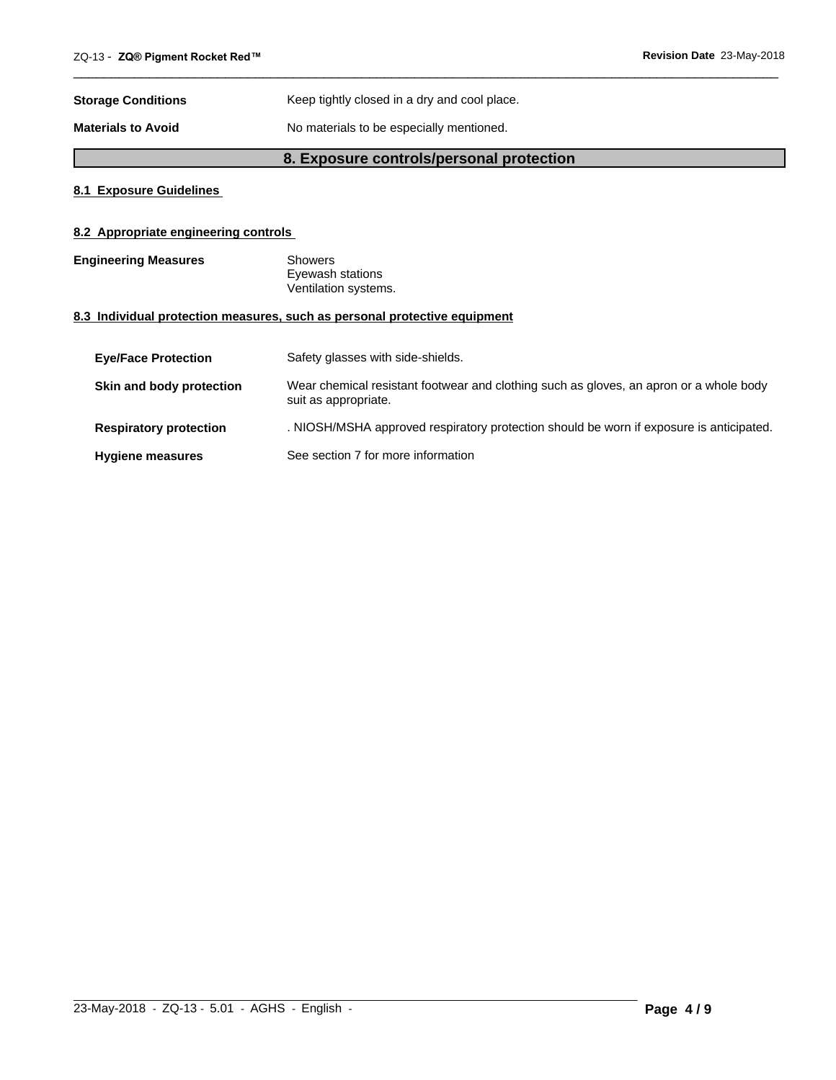| <b>Storage Conditions</b> | Keep tightly closed in a dry and cool place. |
|---------------------------|----------------------------------------------|
| <b>Materials to Avoid</b> | No materials to be especially mentioned.     |

## **8. Exposure controls/personal protection**

 $\overline{\phantom{a}}$  ,  $\overline{\phantom{a}}$  ,  $\overline{\phantom{a}}$  ,  $\overline{\phantom{a}}$  ,  $\overline{\phantom{a}}$  ,  $\overline{\phantom{a}}$  ,  $\overline{\phantom{a}}$  ,  $\overline{\phantom{a}}$  ,  $\overline{\phantom{a}}$  ,  $\overline{\phantom{a}}$  ,  $\overline{\phantom{a}}$  ,  $\overline{\phantom{a}}$  ,  $\overline{\phantom{a}}$  ,  $\overline{\phantom{a}}$  ,  $\overline{\phantom{a}}$  ,  $\overline{\phantom{a}}$ 

## **8.1 Exposure Guidelines**

## **8.2 Appropriate engineering controls**

**Engineering Measures** Showers Eyewash stations Ventilation systems.

## **8.3 Individual protection measures, such as personal protective equipment**

| <b>Eve/Face Protection</b>    | Safety glasses with side-shields.                                                                              |
|-------------------------------|----------------------------------------------------------------------------------------------------------------|
| Skin and body protection      | Wear chemical resistant footwear and clothing such as gloves, an apron or a whole body<br>suit as appropriate. |
| <b>Respiratory protection</b> | . NIOSH/MSHA approved respiratory protection should be worn if exposure is anticipated.                        |
| <b>Hygiene measures</b>       | See section 7 for more information                                                                             |

 $\_$  ,  $\_$  ,  $\_$  ,  $\_$  ,  $\_$  ,  $\_$  ,  $\_$  ,  $\_$  ,  $\_$  ,  $\_$  ,  $\_$  ,  $\_$  ,  $\_$  ,  $\_$  ,  $\_$  ,  $\_$  ,  $\_$  ,  $\_$  ,  $\_$  ,  $\_$  ,  $\_$  ,  $\_$  ,  $\_$  ,  $\_$  ,  $\_$  ,  $\_$  ,  $\_$  ,  $\_$  ,  $\_$  ,  $\_$  ,  $\_$  ,  $\_$  ,  $\_$  ,  $\_$  ,  $\_$  ,  $\_$  ,  $\_$  ,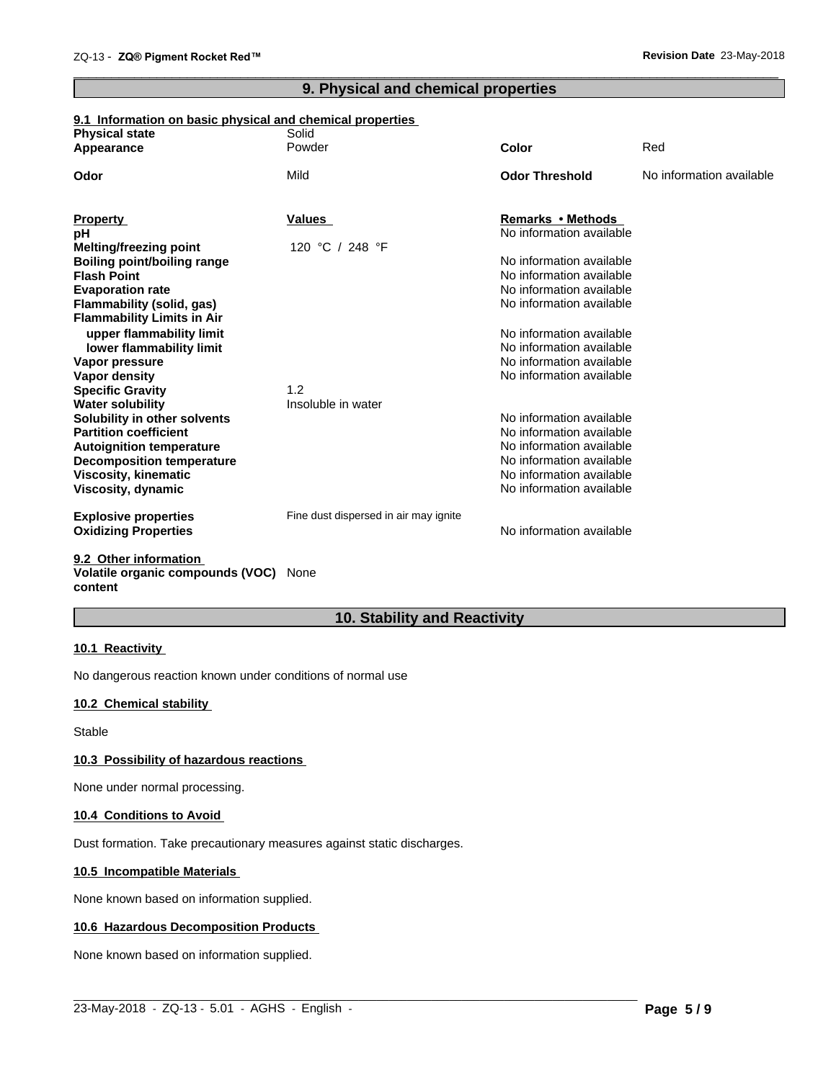## **9. Physical and chemical properties**

 $\overline{\phantom{a}}$  ,  $\overline{\phantom{a}}$  ,  $\overline{\phantom{a}}$  ,  $\overline{\phantom{a}}$  ,  $\overline{\phantom{a}}$  ,  $\overline{\phantom{a}}$  ,  $\overline{\phantom{a}}$  ,  $\overline{\phantom{a}}$  ,  $\overline{\phantom{a}}$  ,  $\overline{\phantom{a}}$  ,  $\overline{\phantom{a}}$  ,  $\overline{\phantom{a}}$  ,  $\overline{\phantom{a}}$  ,  $\overline{\phantom{a}}$  ,  $\overline{\phantom{a}}$  ,  $\overline{\phantom{a}}$ 

## **9.1 Information on basic physical and chemical properties**

| <b>Physical state</b>                             | Solid                                 |                                                      |                          |
|---------------------------------------------------|---------------------------------------|------------------------------------------------------|--------------------------|
| Appearance                                        | Powder                                | Color                                                | Red                      |
| Odor                                              | Mild                                  | <b>Odor Threshold</b>                                | No information available |
| <b>Property</b>                                   | Values                                | Remarks • Methods                                    |                          |
| pН                                                |                                       | No information available                             |                          |
| <b>Melting/freezing point</b>                     | 120 °C / 248 °F                       |                                                      |                          |
| <b>Boiling point/boiling range</b>                |                                       | No information available                             |                          |
| <b>Flash Point</b>                                |                                       | No information available                             |                          |
| <b>Evaporation rate</b>                           |                                       | No information available                             |                          |
| Flammability (solid, gas)                         |                                       | No information available                             |                          |
| <b>Flammability Limits in Air</b>                 |                                       |                                                      |                          |
| upper flammability limit                          |                                       | No information available                             |                          |
| lower flammability limit                          |                                       | No information available                             |                          |
| Vapor pressure                                    |                                       | No information available                             |                          |
| Vapor density                                     |                                       | No information available                             |                          |
| <b>Specific Gravity</b>                           | 1.2                                   |                                                      |                          |
| <b>Water solubility</b>                           | Insoluble in water                    |                                                      |                          |
| Solubility in other solvents                      |                                       | No information available                             |                          |
| <b>Partition coefficient</b>                      |                                       | No information available                             |                          |
| <b>Autoignition temperature</b>                   |                                       | No information available                             |                          |
| <b>Decomposition temperature</b>                  |                                       | No information available<br>No information available |                          |
| <b>Viscosity, kinematic</b><br>Viscosity, dynamic |                                       | No information available                             |                          |
|                                                   |                                       |                                                      |                          |
| <b>Explosive properties</b>                       | Fine dust dispersed in air may ignite |                                                      |                          |
| <b>Oxidizing Properties</b>                       |                                       | No information available                             |                          |
| 0.0. Other information                            |                                       |                                                      |                          |

#### **9.2 Other information Volatile organic compounds (VOC)** None **content**

## **10. Stability and Reactivity**

## **10.1 Reactivity**

No dangerous reaction known under conditions of normal use

## **10.2 Chemical stability**

Stable

## **10.3 Possibility of hazardous reactions**

None under normal processing.

## **10.4 Conditions to Avoid**

Dust formation. Take precautionary measures against static discharges.

## **10.5 Incompatible Materials**

None known based on information supplied.

## **10.6 Hazardous Decomposition Products**

None known based on information supplied.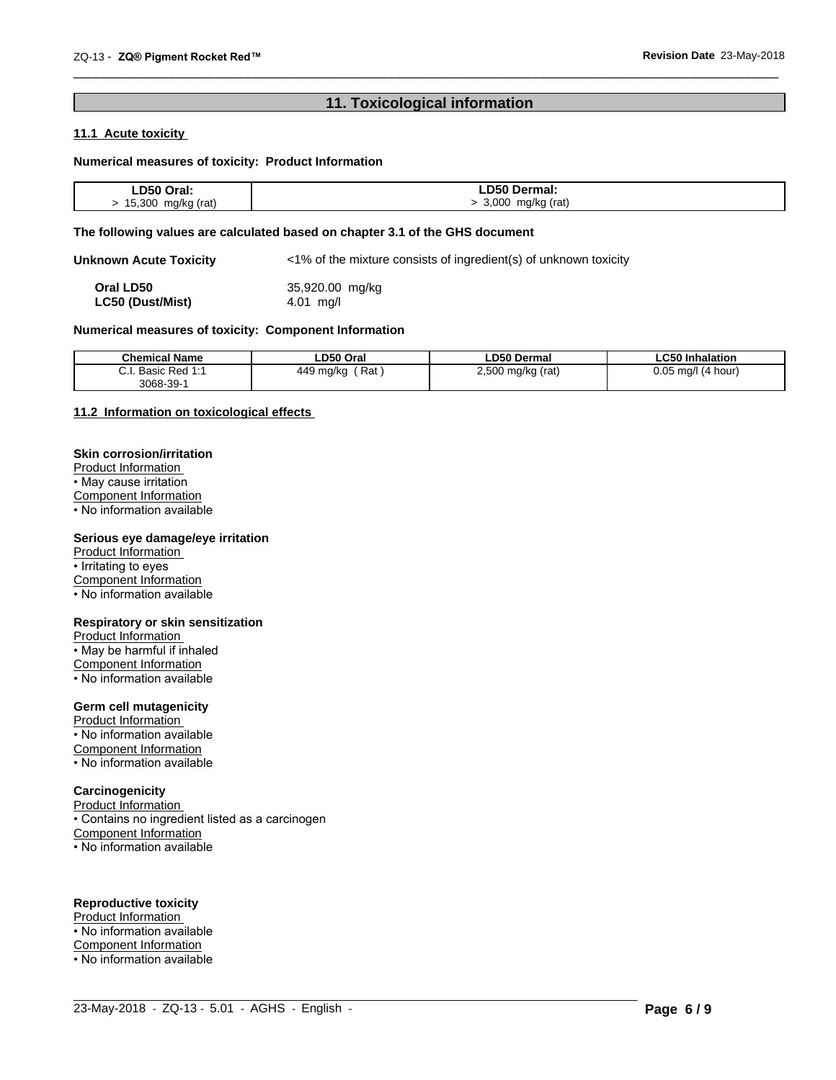## **11. Toxicological information**

 $\overline{\phantom{a}}$  ,  $\overline{\phantom{a}}$  ,  $\overline{\phantom{a}}$  ,  $\overline{\phantom{a}}$  ,  $\overline{\phantom{a}}$  ,  $\overline{\phantom{a}}$  ,  $\overline{\phantom{a}}$  ,  $\overline{\phantom{a}}$  ,  $\overline{\phantom{a}}$  ,  $\overline{\phantom{a}}$  ,  $\overline{\phantom{a}}$  ,  $\overline{\phantom{a}}$  ,  $\overline{\phantom{a}}$  ,  $\overline{\phantom{a}}$  ,  $\overline{\phantom{a}}$  ,  $\overline{\phantom{a}}$ 

## **11.1 Acute toxicity**

## **Numerical measures of toxicity: Product Information**

| D50         | ermal: |
|-------------|--------|
| Oral:       |        |
| 15.300      |        |
| mg/kg (rat) | റററ    |
| J           | (rat)  |
| $\sim$      | mg/kg  |

#### **The following values are calculated based on chapter 3.1 of the GHS document**

**Unknown Acute Toxicity** <1% of the mixture consists of ingredient(s) of unknown toxicity

**Oral LD50** 35,920.00 mg/kg<br> **LC50 (Dust/Mist)** 4.01 mg/l **LC50** (Dust/Mist)

## **Numerical measures of toxicity: Component Information**

| <b>Chemical Name</b>                       | LD50 Oral           | <b>LD50 Dermal</b>               | ∟C50 Inhalation          |
|--------------------------------------------|---------------------|----------------------------------|--------------------------|
| Basic<br>$\sim$<br><b>Dod 1.1</b><br>veu i | Rat<br>449<br>ma/kc | 2,500<br>(rat)<br>mg/kg (<br>. . | 0.05<br>ma/l<br>(4 hour) |
| 3068-39-                                   |                     |                                  |                          |

 $\_$  ,  $\_$  ,  $\_$  ,  $\_$  ,  $\_$  ,  $\_$  ,  $\_$  ,  $\_$  ,  $\_$  ,  $\_$  ,  $\_$  ,  $\_$  ,  $\_$  ,  $\_$  ,  $\_$  ,  $\_$  ,  $\_$  ,  $\_$  ,  $\_$  ,  $\_$  ,  $\_$  ,  $\_$  ,  $\_$  ,  $\_$  ,  $\_$  ,  $\_$  ,  $\_$  ,  $\_$  ,  $\_$  ,  $\_$  ,  $\_$  ,  $\_$  ,  $\_$  ,  $\_$  ,  $\_$  ,  $\_$  ,  $\_$  ,

## **11.2 Information on toxicologicaleffects**

### **Skin corrosion/irritation**

Product Information • May cause irritation Component Information

 $\overline{\cdot}$  No information available

## **Serious eye damage/eye irritation**

Product Information • Irritating to eyes Component Information • No information available

#### **Respiratory or skin sensitization**

Product Information • May be harmful if inhaled Component Information • No information available

## **Germ cell mutagenicity**

Product Information • No information available Component Information • No information available

## **Carcinogenicity**

Product Information • Contains no ingredient listed as a carcinogen Component Information • No information available

## **Reproductive toxicity**

Product Information • No information available Component Information • No information available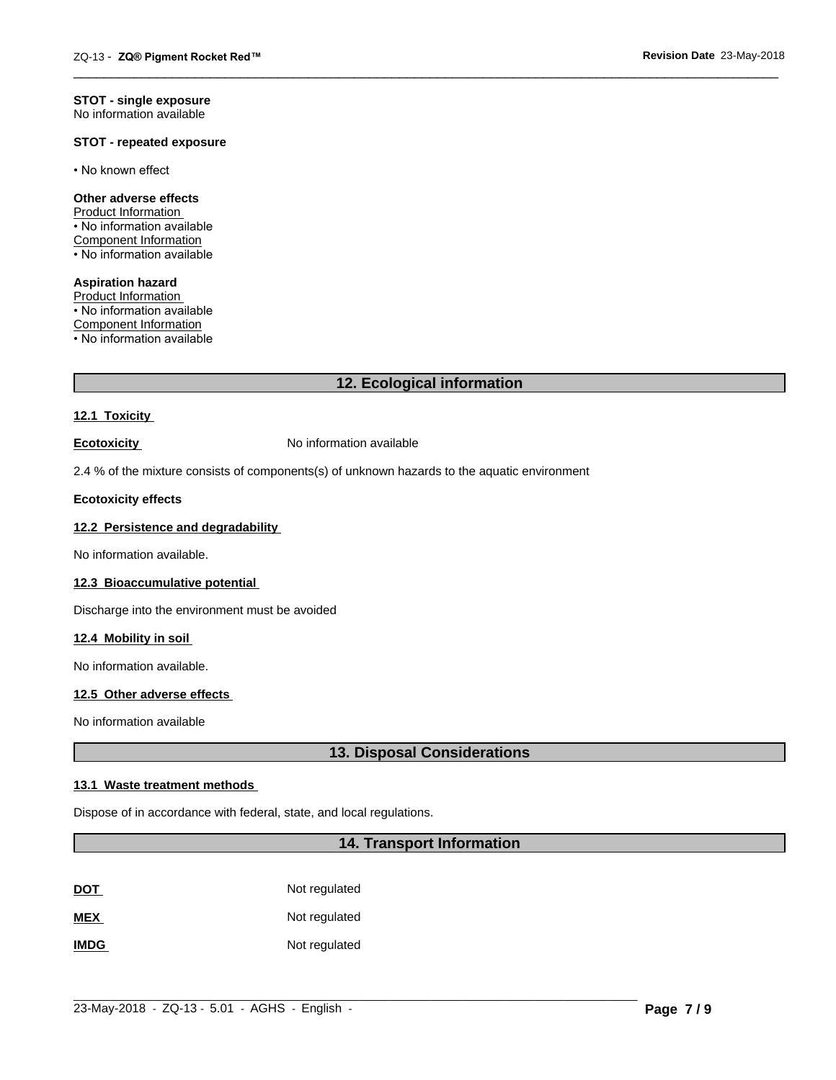#### **STOT - single exposure** No information available

## **STOT - repeated exposure**

• No known effect

#### **Other adverse effects**

Product Information • No information available Component Information • No information available

**Aspiration hazard** Product Information • No information available Component Information • No information available

## **12. Ecological information**

 $\overline{\phantom{a}}$  ,  $\overline{\phantom{a}}$  ,  $\overline{\phantom{a}}$  ,  $\overline{\phantom{a}}$  ,  $\overline{\phantom{a}}$  ,  $\overline{\phantom{a}}$  ,  $\overline{\phantom{a}}$  ,  $\overline{\phantom{a}}$  ,  $\overline{\phantom{a}}$  ,  $\overline{\phantom{a}}$  ,  $\overline{\phantom{a}}$  ,  $\overline{\phantom{a}}$  ,  $\overline{\phantom{a}}$  ,  $\overline{\phantom{a}}$  ,  $\overline{\phantom{a}}$  ,  $\overline{\phantom{a}}$ 

## **12.1 Toxicity**

**Ecotoxicity No information available** 

2.4 % of the mixture consists of components(s) of unknown hazards to the aquatic environment

## **Ecotoxicity effects**

## **12.2 Persistence and degradability**

No information available.

#### **12.3 Bioaccumulative potential**

Discharge into the environment must be avoided

#### **12.4 Mobility in soil**

No information available.

## **12.5 Other adverse effects**

No information available

## **13. Disposal Considerations**

## **13.1 Waste treatment methods**

Dispose of in accordance with federal, state, and local regulations.

## **14. Transport Information**

 $\_$  ,  $\_$  ,  $\_$  ,  $\_$  ,  $\_$  ,  $\_$  ,  $\_$  ,  $\_$  ,  $\_$  ,  $\_$  ,  $\_$  ,  $\_$  ,  $\_$  ,  $\_$  ,  $\_$  ,  $\_$  ,  $\_$  ,  $\_$  ,  $\_$  ,  $\_$  ,  $\_$  ,  $\_$  ,  $\_$  ,  $\_$  ,  $\_$  ,  $\_$  ,  $\_$  ,  $\_$  ,  $\_$  ,  $\_$  ,  $\_$  ,  $\_$  ,  $\_$  ,  $\_$  ,  $\_$  ,  $\_$  ,  $\_$  ,

| <u>DOT</u>  | Not regulated |
|-------------|---------------|
| <b>MEX</b>  | Not regulated |
| <b>IMDG</b> | Not regulated |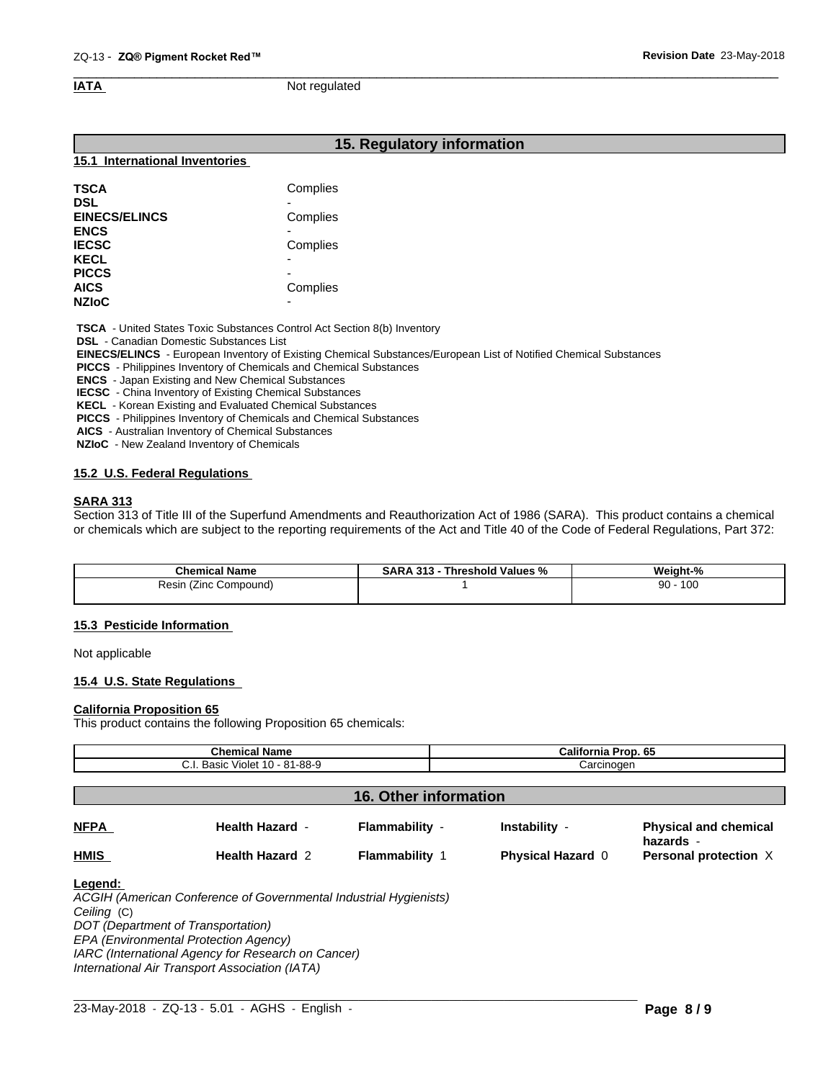#### $\overline{\phantom{a}}$  ,  $\overline{\phantom{a}}$  ,  $\overline{\phantom{a}}$  ,  $\overline{\phantom{a}}$  ,  $\overline{\phantom{a}}$  ,  $\overline{\phantom{a}}$  ,  $\overline{\phantom{a}}$  ,  $\overline{\phantom{a}}$  ,  $\overline{\phantom{a}}$  ,  $\overline{\phantom{a}}$  ,  $\overline{\phantom{a}}$  ,  $\overline{\phantom{a}}$  ,  $\overline{\phantom{a}}$  ,  $\overline{\phantom{a}}$  ,  $\overline{\phantom{a}}$  ,  $\overline{\phantom{a}}$ **IATA** Not regulated

## **15. Regulatory information**

#### **15.1 International Inventories**

| Complies                 |
|--------------------------|
| -                        |
| Complies                 |
|                          |
| Complies                 |
| $\overline{\phantom{0}}$ |
| $\overline{\phantom{0}}$ |
| Complies                 |
| $\overline{\phantom{0}}$ |
|                          |

 **TSCA** - United States Toxic Substances Control Act Section 8(b) Inventory

 **DSL** - Canadian Domestic Substances List

 **EINECS/ELINCS** - European Inventory of Existing Chemical Substances/European List of Notified Chemical Substances

 **PICCS** - Philippines Inventory of Chemicals and Chemical Substances

 **ENCS** - Japan Existing and New Chemical Substances

 **IECSC** - China Inventory of Existing Chemical Substances

 **KECL** - Korean Existing and Evaluated Chemical Substances

 **PICCS** - Philippines Inventory of Chemicals and Chemical Substances

 **AICS** - Australian Inventory of Chemical Substances

 **NZIoC** - New Zealand Inventory of Chemicals

## **15.2 U.S. Federal Regulations**

## **SARA 313**

Section 313 of Title III of the Superfund Amendments and Reauthorization Act of 1986 (SARA). This product contains a chemical or chemicals which are subject to the reporting requirements of the Act and Title 40 of the Code of Federal Regulations, Part 372:

| <b>Chemical Name</b>        | 313<br>Threshold Values<br>SARA<br>. .<br>% | Weight-%  |
|-----------------------------|---------------------------------------------|-----------|
| Resin<br>Compound)<br>(∠inc |                                             | 100<br>90 |
|                             |                                             |           |

#### **15.3 Pesticide Information**

Not applicable

## **15.4 U.S. State Regulations**

#### **California Proposition 65**

This product contains the following Proposition 65 chemicals:

| <b>Chemical Name</b><br>C.I. Basic Violet 10 - 81-88-9 |                        |                       | California Prop. 65<br>Carcinogen |                                           |  |
|--------------------------------------------------------|------------------------|-----------------------|-----------------------------------|-------------------------------------------|--|
|                                                        |                        |                       |                                   |                                           |  |
| 16. Other information                                  |                        |                       |                                   |                                           |  |
| <b>NFPA</b>                                            | <b>Health Hazard -</b> | Flammability -        | Instability -                     | <b>Physical and chemical</b><br>hazards - |  |
| <b>HMIS</b>                                            | <b>Health Hazard 2</b> | <b>Flammability 1</b> | <b>Physical Hazard 0</b>          | Personal protection X                     |  |

 $\_$  ,  $\_$  ,  $\_$  ,  $\_$  ,  $\_$  ,  $\_$  ,  $\_$  ,  $\_$  ,  $\_$  ,  $\_$  ,  $\_$  ,  $\_$  ,  $\_$  ,  $\_$  ,  $\_$  ,  $\_$  ,  $\_$  ,  $\_$  ,  $\_$  ,  $\_$  ,  $\_$  ,  $\_$  ,  $\_$  ,  $\_$  ,  $\_$  ,  $\_$  ,  $\_$  ,  $\_$  ,  $\_$  ,  $\_$  ,  $\_$  ,  $\_$  ,  $\_$  ,  $\_$  ,  $\_$  ,  $\_$  ,  $\_$  ,

*Ceiling* (C)

*DOT (Department of Transportation)*

*EPA (Environmental Protection Agency)*

*IARC (International Agency for Research on Cancer)*

*International Air Transport Association (IATA)*